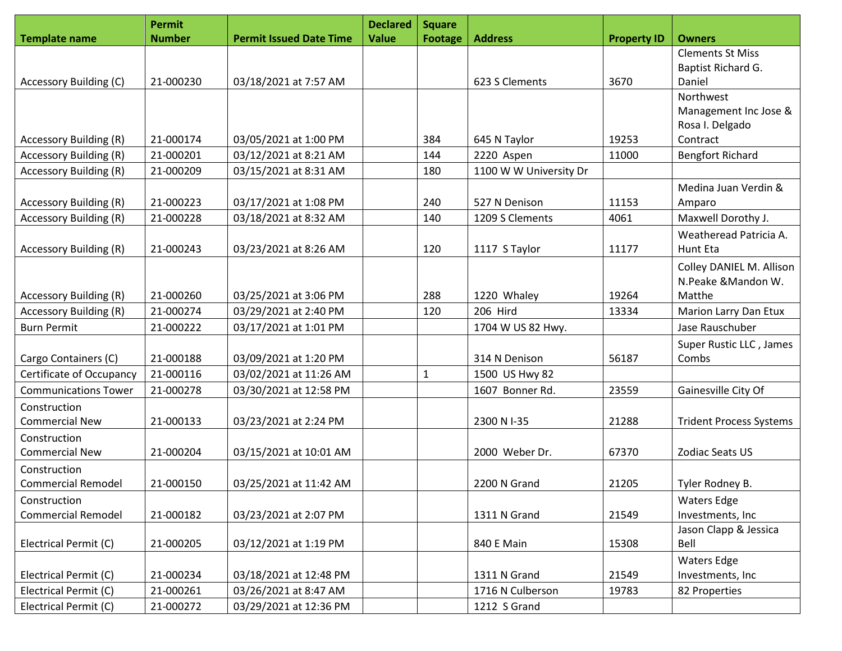|                               | <b>Permit</b> |                                | <b>Declared</b> | <b>Square</b>  |                        |                    |                                |
|-------------------------------|---------------|--------------------------------|-----------------|----------------|------------------------|--------------------|--------------------------------|
| <b>Template name</b>          | <b>Number</b> | <b>Permit Issued Date Time</b> | <b>Value</b>    | <b>Footage</b> | <b>Address</b>         | <b>Property ID</b> | <b>Owners</b>                  |
|                               |               |                                |                 |                |                        |                    | <b>Clements St Miss</b>        |
|                               |               |                                |                 |                |                        |                    | Baptist Richard G.             |
| Accessory Building (C)        | 21-000230     | 03/18/2021 at 7:57 AM          |                 |                | 623 S Clements         | 3670               | Daniel                         |
|                               |               |                                |                 |                |                        |                    | Northwest                      |
|                               |               |                                |                 |                |                        |                    | Management Inc Jose &          |
|                               |               |                                |                 |                |                        |                    | Rosa I. Delgado                |
| Accessory Building (R)        | 21-000174     | 03/05/2021 at 1:00 PM          |                 | 384            | 645 N Taylor           | 19253              | Contract                       |
| <b>Accessory Building (R)</b> | 21-000201     | 03/12/2021 at 8:21 AM          |                 | 144            | 2220 Aspen             | 11000              | <b>Bengfort Richard</b>        |
| <b>Accessory Building (R)</b> | 21-000209     | 03/15/2021 at 8:31 AM          |                 | 180            | 1100 W W University Dr |                    |                                |
|                               |               |                                |                 |                |                        |                    | Medina Juan Verdin &           |
| Accessory Building (R)        | 21-000223     | 03/17/2021 at 1:08 PM          |                 | 240            | 527 N Denison          | 11153              | Amparo                         |
| Accessory Building (R)        | 21-000228     | 03/18/2021 at 8:32 AM          |                 | 140            | 1209 S Clements        | 4061               | Maxwell Dorothy J.             |
|                               |               |                                |                 |                |                        |                    | Weatheread Patricia A.         |
| <b>Accessory Building (R)</b> | 21-000243     | 03/23/2021 at 8:26 AM          |                 | 120            | 1117 S Taylor          | 11177              | <b>Hunt Eta</b>                |
|                               |               |                                |                 |                |                        |                    | Colley DANIEL M. Allison       |
|                               |               |                                |                 |                |                        |                    | N.Peake &Mandon W.             |
| <b>Accessory Building (R)</b> | 21-000260     | 03/25/2021 at 3:06 PM          |                 | 288            | 1220 Whaley            | 19264              | Matthe                         |
| <b>Accessory Building (R)</b> | 21-000274     | 03/29/2021 at 2:40 PM          |                 | 120            | 206 Hird               | 13334              | Marion Larry Dan Etux          |
| <b>Burn Permit</b>            | 21-000222     | 03/17/2021 at 1:01 PM          |                 |                | 1704 W US 82 Hwy.      |                    | Jase Rauschuber                |
|                               |               |                                |                 |                |                        |                    | Super Rustic LLC, James        |
| Cargo Containers (C)          | 21-000188     | 03/09/2021 at 1:20 PM          |                 |                | 314 N Denison          | 56187              | Combs                          |
| Certificate of Occupancy      | 21-000116     | 03/02/2021 at 11:26 AM         |                 | 1              | 1500 US Hwy 82         |                    |                                |
| <b>Communications Tower</b>   | 21-000278     | 03/30/2021 at 12:58 PM         |                 |                | 1607 Bonner Rd.        | 23559              | Gainesville City Of            |
| Construction                  |               |                                |                 |                |                        |                    |                                |
| <b>Commercial New</b>         | 21-000133     | 03/23/2021 at 2:24 PM          |                 |                | 2300 N I-35            | 21288              | <b>Trident Process Systems</b> |
| Construction                  |               |                                |                 |                |                        |                    |                                |
| <b>Commercial New</b>         | 21-000204     | 03/15/2021 at 10:01 AM         |                 |                | 2000 Weber Dr.         | 67370              | Zodiac Seats US                |
| Construction                  |               |                                |                 |                |                        |                    |                                |
| <b>Commercial Remodel</b>     | 21-000150     | 03/25/2021 at 11:42 AM         |                 |                | 2200 N Grand           | 21205              | Tyler Rodney B.                |
| Construction                  |               |                                |                 |                |                        |                    | <b>Waters Edge</b>             |
| <b>Commercial Remodel</b>     | 21-000182     | 03/23/2021 at 2:07 PM          |                 |                | 1311 N Grand           | 21549              | Investments, Inc               |
|                               |               |                                |                 |                |                        |                    | Jason Clapp & Jessica          |
| Electrical Permit (C)         | 21-000205     | 03/12/2021 at 1:19 PM          |                 |                | 840 E Main             | 15308              | Bell                           |
|                               |               |                                |                 |                |                        |                    | <b>Waters Edge</b>             |
| Electrical Permit (C)         | 21-000234     | 03/18/2021 at 12:48 PM         |                 |                | 1311 N Grand           | 21549              | Investments, Inc               |
| Electrical Permit (C)         | 21-000261     | 03/26/2021 at 8:47 AM          |                 |                | 1716 N Culberson       | 19783              | 82 Properties                  |
| Electrical Permit (C)         | 21-000272     | 03/29/2021 at 12:36 PM         |                 |                | 1212 S Grand           |                    |                                |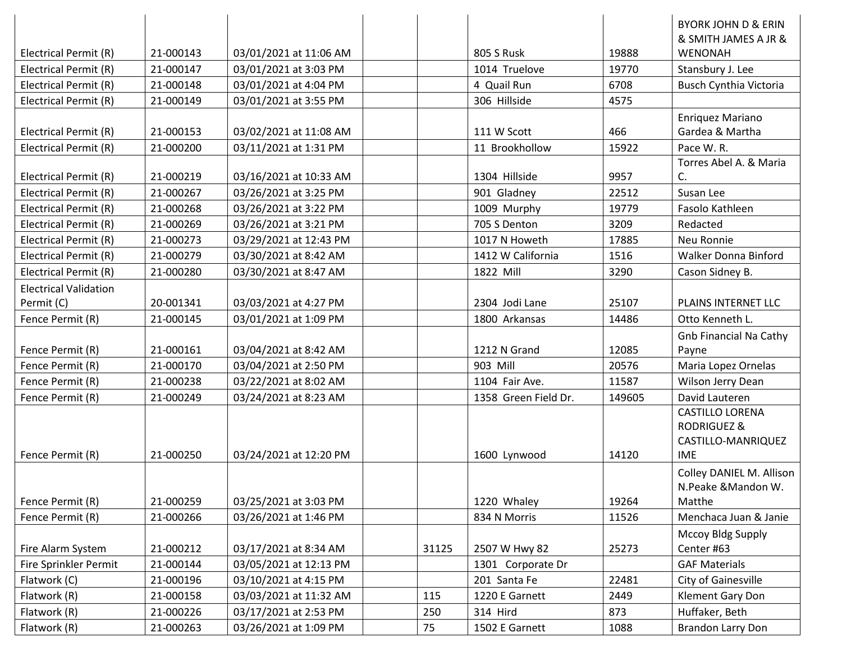|                              |           |                        |       |                      |        | <b>BYORK JOHN D &amp; ERIN</b><br>& SMITH JAMES A JR & |
|------------------------------|-----------|------------------------|-------|----------------------|--------|--------------------------------------------------------|
| Electrical Permit (R)        | 21-000143 | 03/01/2021 at 11:06 AM |       | <b>805 S Rusk</b>    | 19888  | <b>WENONAH</b>                                         |
| Electrical Permit (R)        | 21-000147 | 03/01/2021 at 3:03 PM  |       | 1014 Truelove        | 19770  | Stansbury J. Lee                                       |
| Electrical Permit (R)        | 21-000148 | 03/01/2021 at 4:04 PM  |       | 4 Quail Run          | 6708   | <b>Busch Cynthia Victoria</b>                          |
| Electrical Permit (R)        | 21-000149 | 03/01/2021 at 3:55 PM  |       | 306 Hillside         | 4575   |                                                        |
|                              |           |                        |       |                      |        | Enriquez Mariano                                       |
| Electrical Permit (R)        | 21-000153 | 03/02/2021 at 11:08 AM |       | 111 W Scott          | 466    | Gardea & Martha                                        |
| Electrical Permit (R)        | 21-000200 | 03/11/2021 at 1:31 PM  |       | 11 Brookhollow       | 15922  | Pace W.R.                                              |
|                              |           |                        |       |                      |        | Torres Abel A. & Maria                                 |
| Electrical Permit (R)        | 21-000219 | 03/16/2021 at 10:33 AM |       | 1304 Hillside        | 9957   | C.                                                     |
| Electrical Permit (R)        | 21-000267 | 03/26/2021 at 3:25 PM  |       | 901 Gladney          | 22512  | Susan Lee                                              |
| Electrical Permit (R)        | 21-000268 | 03/26/2021 at 3:22 PM  |       | 1009 Murphy          | 19779  | Fasolo Kathleen                                        |
| Electrical Permit (R)        | 21-000269 | 03/26/2021 at 3:21 PM  |       | 705 S Denton         | 3209   | Redacted                                               |
| Electrical Permit (R)        | 21-000273 | 03/29/2021 at 12:43 PM |       | 1017 N Howeth        | 17885  | Neu Ronnie                                             |
| Electrical Permit (R)        | 21-000279 | 03/30/2021 at 8:42 AM  |       | 1412 W California    | 1516   | Walker Donna Binford                                   |
| Electrical Permit (R)        | 21-000280 | 03/30/2021 at 8:47 AM  |       | 1822 Mill            | 3290   | Cason Sidney B.                                        |
| <b>Electrical Validation</b> |           |                        |       |                      |        |                                                        |
| Permit (C)                   | 20-001341 | 03/03/2021 at 4:27 PM  |       | 2304 Jodi Lane       | 25107  | PLAINS INTERNET LLC                                    |
| Fence Permit (R)             | 21-000145 | 03/01/2021 at 1:09 PM  |       | 1800 Arkansas        | 14486  | Otto Kenneth L.                                        |
|                              |           |                        |       |                      |        | <b>Gnb Financial Na Cathy</b>                          |
| Fence Permit (R)             | 21-000161 | 03/04/2021 at 8:42 AM  |       | 1212 N Grand         | 12085  | Payne                                                  |
| Fence Permit (R)             | 21-000170 | 03/04/2021 at 2:50 PM  |       | 903 Mill             | 20576  | Maria Lopez Ornelas                                    |
| Fence Permit (R)             | 21-000238 | 03/22/2021 at 8:02 AM  |       | 1104 Fair Ave.       | 11587  | Wilson Jerry Dean                                      |
| Fence Permit (R)             | 21-000249 | 03/24/2021 at 8:23 AM  |       | 1358 Green Field Dr. | 149605 | David Lauteren                                         |
|                              |           |                        |       |                      |        | <b>CASTILLO LORENA</b>                                 |
|                              |           |                        |       |                      |        | <b>RODRIGUEZ &amp;</b>                                 |
|                              |           |                        |       |                      |        | CASTILLO-MANRIQUEZ                                     |
| Fence Permit (R)             | 21-000250 | 03/24/2021 at 12:20 PM |       | 1600 Lynwood         | 14120  | <b>IME</b>                                             |
|                              |           |                        |       |                      |        | Colley DANIEL M. Allison                               |
|                              |           |                        |       |                      |        | N.Peake & Mandon W.                                    |
| Fence Permit (R)             | 21-000259 | 03/25/2021 at 3:03 PM  |       | 1220 Whaley          | 19264  | Matthe                                                 |
| Fence Permit (R)             | 21-000266 | 03/26/2021 at 1:46 PM  |       | 834 N Morris         | 11526  | Menchaca Juan & Janie                                  |
|                              |           |                        |       |                      |        | Mccoy Bldg Supply                                      |
| Fire Alarm System            | 21-000212 | 03/17/2021 at 8:34 AM  | 31125 | 2507 W Hwy 82        | 25273  | Center #63                                             |
| Fire Sprinkler Permit        | 21-000144 | 03/05/2021 at 12:13 PM |       | 1301 Corporate Dr    |        | <b>GAF Materials</b>                                   |
| Flatwork (C)                 | 21-000196 | 03/10/2021 at 4:15 PM  |       | 201 Santa Fe         | 22481  | City of Gainesville                                    |
| Flatwork (R)                 | 21-000158 | 03/03/2021 at 11:32 AM | 115   | 1220 E Garnett       | 2449   | Klement Gary Don                                       |
| Flatwork (R)                 | 21-000226 | 03/17/2021 at 2:53 PM  | 250   | 314 Hird             | 873    | Huffaker, Beth                                         |
| Flatwork (R)                 | 21-000263 | 03/26/2021 at 1:09 PM  | 75    | 1502 E Garnett       | 1088   | Brandon Larry Don                                      |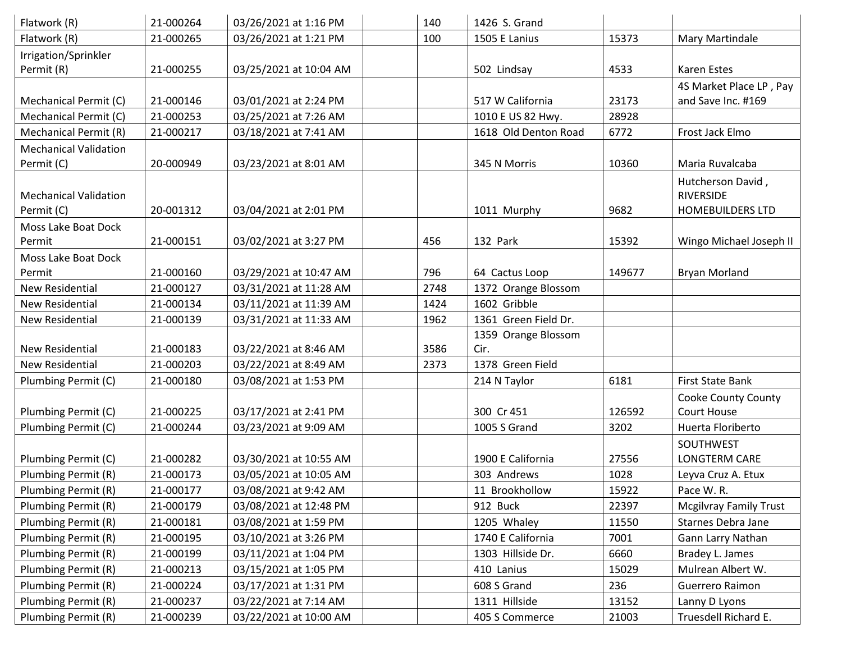| Flatwork (R)                 | 21-000264 | 03/26/2021 at 1:16 PM  | 140  | 1426 S. Grand        |        |                               |
|------------------------------|-----------|------------------------|------|----------------------|--------|-------------------------------|
| Flatwork (R)                 | 21-000265 | 03/26/2021 at 1:21 PM  | 100  | 1505 E Lanius        | 15373  | Mary Martindale               |
| Irrigation/Sprinkler         |           |                        |      |                      |        |                               |
| Permit (R)                   | 21-000255 | 03/25/2021 at 10:04 AM |      | 502 Lindsay          | 4533   | Karen Estes                   |
|                              |           |                        |      |                      |        | 4S Market Place LP, Pay       |
| Mechanical Permit (C)        | 21-000146 | 03/01/2021 at 2:24 PM  |      | 517 W California     | 23173  | and Save Inc. #169            |
| Mechanical Permit (C)        | 21-000253 | 03/25/2021 at 7:26 AM  |      | 1010 E US 82 Hwy.    | 28928  |                               |
| Mechanical Permit (R)        | 21-000217 | 03/18/2021 at 7:41 AM  |      | 1618 Old Denton Road | 6772   | Frost Jack Elmo               |
| <b>Mechanical Validation</b> |           |                        |      |                      |        |                               |
| Permit (C)                   | 20-000949 | 03/23/2021 at 8:01 AM  |      | 345 N Morris         | 10360  | Maria Ruvalcaba               |
|                              |           |                        |      |                      |        | Hutcherson David,             |
| <b>Mechanical Validation</b> |           |                        |      |                      |        | RIVERSIDE                     |
| Permit (C)                   | 20-001312 | 03/04/2021 at 2:01 PM  |      | 1011 Murphy          | 9682   | <b>HOMEBUILDERS LTD</b>       |
| Moss Lake Boat Dock          |           |                        |      |                      |        |                               |
| Permit                       | 21-000151 | 03/02/2021 at 3:27 PM  | 456  | 132 Park             | 15392  | Wingo Michael Joseph II       |
| Moss Lake Boat Dock          |           |                        |      |                      |        |                               |
| Permit                       | 21-000160 | 03/29/2021 at 10:47 AM | 796  | 64 Cactus Loop       | 149677 | <b>Bryan Morland</b>          |
| <b>New Residential</b>       | 21-000127 | 03/31/2021 at 11:28 AM | 2748 | 1372 Orange Blossom  |        |                               |
| <b>New Residential</b>       | 21-000134 | 03/11/2021 at 11:39 AM | 1424 | 1602 Gribble         |        |                               |
| <b>New Residential</b>       | 21-000139 | 03/31/2021 at 11:33 AM | 1962 | 1361 Green Field Dr. |        |                               |
|                              |           |                        |      | 1359 Orange Blossom  |        |                               |
| <b>New Residential</b>       | 21-000183 | 03/22/2021 at 8:46 AM  | 3586 | Cir.                 |        |                               |
| <b>New Residential</b>       | 21-000203 | 03/22/2021 at 8:49 AM  | 2373 | 1378 Green Field     |        |                               |
| Plumbing Permit (C)          | 21-000180 | 03/08/2021 at 1:53 PM  |      | 214 N Taylor         | 6181   | <b>First State Bank</b>       |
|                              |           |                        |      |                      |        | Cooke County County           |
| Plumbing Permit (C)          | 21-000225 | 03/17/2021 at 2:41 PM  |      | 300 Cr 451           | 126592 | Court House                   |
| Plumbing Permit (C)          | 21-000244 | 03/23/2021 at 9:09 AM  |      | 1005 S Grand         | 3202   | Huerta Floriberto             |
|                              |           |                        |      |                      |        | SOUTHWEST                     |
| Plumbing Permit (C)          | 21-000282 | 03/30/2021 at 10:55 AM |      | 1900 E California    | 27556  | LONGTERM CARE                 |
| Plumbing Permit (R)          | 21-000173 | 03/05/2021 at 10:05 AM |      | 303 Andrews          | 1028   | Leyva Cruz A. Etux            |
| Plumbing Permit (R)          | 21-000177 | 03/08/2021 at 9:42 AM  |      | 11 Brookhollow       | 15922  | Pace W.R.                     |
| Plumbing Permit (R)          | 21-000179 | 03/08/2021 at 12:48 PM |      | 912 Buck             | 22397  | <b>Mcgilvray Family Trust</b> |
| Plumbing Permit (R)          | 21-000181 | 03/08/2021 at 1:59 PM  |      | 1205 Whaley          | 11550  | Starnes Debra Jane            |
| Plumbing Permit (R)          | 21-000195 | 03/10/2021 at 3:26 PM  |      | 1740 E California    | 7001   | Gann Larry Nathan             |
| Plumbing Permit (R)          | 21-000199 | 03/11/2021 at 1:04 PM  |      | 1303 Hillside Dr.    | 6660   | Bradey L. James               |
| Plumbing Permit (R)          | 21-000213 | 03/15/2021 at 1:05 PM  |      | 410 Lanius           | 15029  | Mulrean Albert W.             |
| Plumbing Permit (R)          | 21-000224 | 03/17/2021 at 1:31 PM  |      | 608 S Grand          | 236    | Guerrero Raimon               |
| Plumbing Permit (R)          | 21-000237 | 03/22/2021 at 7:14 AM  |      | 1311 Hillside        | 13152  | Lanny D Lyons                 |
| Plumbing Permit (R)          | 21-000239 | 03/22/2021 at 10:00 AM |      | 405 S Commerce       | 21003  | Truesdell Richard E.          |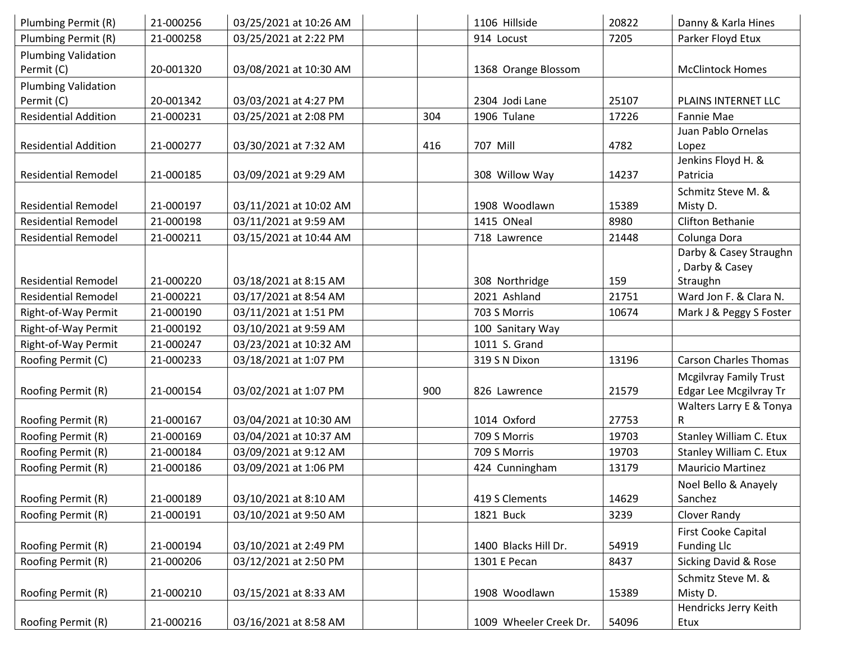| Plumbing Permit (R)         | 21-000256 | 03/25/2021 at 10:26 AM |     | 1106 Hillside          | 20822 | Danny & Karla Hines           |
|-----------------------------|-----------|------------------------|-----|------------------------|-------|-------------------------------|
| Plumbing Permit (R)         | 21-000258 | 03/25/2021 at 2:22 PM  |     | 914 Locust             | 7205  | Parker Floyd Etux             |
| <b>Plumbing Validation</b>  |           |                        |     |                        |       |                               |
| Permit (C)                  | 20-001320 | 03/08/2021 at 10:30 AM |     | 1368 Orange Blossom    |       | <b>McClintock Homes</b>       |
| <b>Plumbing Validation</b>  |           |                        |     |                        |       |                               |
| Permit (C)                  | 20-001342 | 03/03/2021 at 4:27 PM  |     | 2304 Jodi Lane         | 25107 | PLAINS INTERNET LLC           |
| <b>Residential Addition</b> | 21-000231 | 03/25/2021 at 2:08 PM  | 304 | 1906 Tulane            | 17226 | Fannie Mae                    |
|                             |           |                        |     |                        |       | Juan Pablo Ornelas            |
| <b>Residential Addition</b> | 21-000277 | 03/30/2021 at 7:32 AM  | 416 | 707 Mill               | 4782  | Lopez                         |
|                             |           |                        |     |                        |       | Jenkins Floyd H. &            |
| <b>Residential Remodel</b>  | 21-000185 | 03/09/2021 at 9:29 AM  |     | 308 Willow Way         | 14237 | Patricia                      |
|                             |           |                        |     |                        |       | Schmitz Steve M. &            |
| <b>Residential Remodel</b>  | 21-000197 | 03/11/2021 at 10:02 AM |     | 1908 Woodlawn          | 15389 | Misty D.                      |
| <b>Residential Remodel</b>  | 21-000198 | 03/11/2021 at 9:59 AM  |     | 1415 ONeal             | 8980  | Clifton Bethanie              |
| <b>Residential Remodel</b>  | 21-000211 | 03/15/2021 at 10:44 AM |     | 718 Lawrence           | 21448 | Colunga Dora                  |
|                             |           |                        |     |                        |       | Darby & Casey Straughn        |
|                             |           |                        |     |                        |       | , Darby & Casey               |
| <b>Residential Remodel</b>  | 21-000220 | 03/18/2021 at 8:15 AM  |     | 308 Northridge         | 159   | Straughn                      |
| <b>Residential Remodel</b>  | 21-000221 | 03/17/2021 at 8:54 AM  |     | 2021 Ashland           | 21751 | Ward Jon F. & Clara N.        |
| Right-of-Way Permit         | 21-000190 | 03/11/2021 at 1:51 PM  |     | 703 S Morris           | 10674 | Mark J & Peggy S Foster       |
| Right-of-Way Permit         | 21-000192 | 03/10/2021 at 9:59 AM  |     | 100 Sanitary Way       |       |                               |
| Right-of-Way Permit         | 21-000247 | 03/23/2021 at 10:32 AM |     | 1011 S. Grand          |       |                               |
| Roofing Permit (C)          | 21-000233 | 03/18/2021 at 1:07 PM  |     | 319 S N Dixon          | 13196 | <b>Carson Charles Thomas</b>  |
|                             |           |                        |     |                        |       | <b>Mcgilvray Family Trust</b> |
| Roofing Permit (R)          | 21-000154 | 03/02/2021 at 1:07 PM  | 900 | 826 Lawrence           | 21579 | Edgar Lee Mcgilvray Tr        |
|                             |           |                        |     |                        |       | Walters Larry E & Tonya       |
| Roofing Permit (R)          | 21-000167 | 03/04/2021 at 10:30 AM |     | 1014 Oxford            | 27753 | R                             |
| Roofing Permit (R)          | 21-000169 | 03/04/2021 at 10:37 AM |     | 709 S Morris           | 19703 | Stanley William C. Etux       |
| Roofing Permit (R)          | 21-000184 | 03/09/2021 at 9:12 AM  |     | 709 S Morris           | 19703 | Stanley William C. Etux       |
| Roofing Permit (R)          | 21-000186 | 03/09/2021 at 1:06 PM  |     | 424 Cunningham         | 13179 | <b>Mauricio Martinez</b>      |
|                             |           |                        |     |                        |       | Noel Bello & Anayely          |
| Roofing Permit (R)          | 21-000189 | 03/10/2021 at 8:10 AM  |     | 419 S Clements         | 14629 | Sanchez                       |
| Roofing Permit (R)          | 21-000191 | 03/10/2021 at 9:50 AM  |     | 1821 Buck              | 3239  | Clover Randy                  |
|                             |           |                        |     |                        |       | First Cooke Capital           |
| Roofing Permit (R)          | 21-000194 | 03/10/2021 at 2:49 PM  |     | 1400 Blacks Hill Dr.   | 54919 | <b>Funding Llc</b>            |
| Roofing Permit (R)          | 21-000206 | 03/12/2021 at 2:50 PM  |     | 1301 E Pecan           | 8437  | Sicking David & Rose          |
|                             |           |                        |     |                        |       | Schmitz Steve M. &            |
| Roofing Permit (R)          | 21-000210 | 03/15/2021 at 8:33 AM  |     | 1908 Woodlawn          | 15389 | Misty D.                      |
|                             |           |                        |     |                        |       | Hendricks Jerry Keith         |
| Roofing Permit (R)          | 21-000216 | 03/16/2021 at 8:58 AM  |     | 1009 Wheeler Creek Dr. | 54096 | Etux                          |